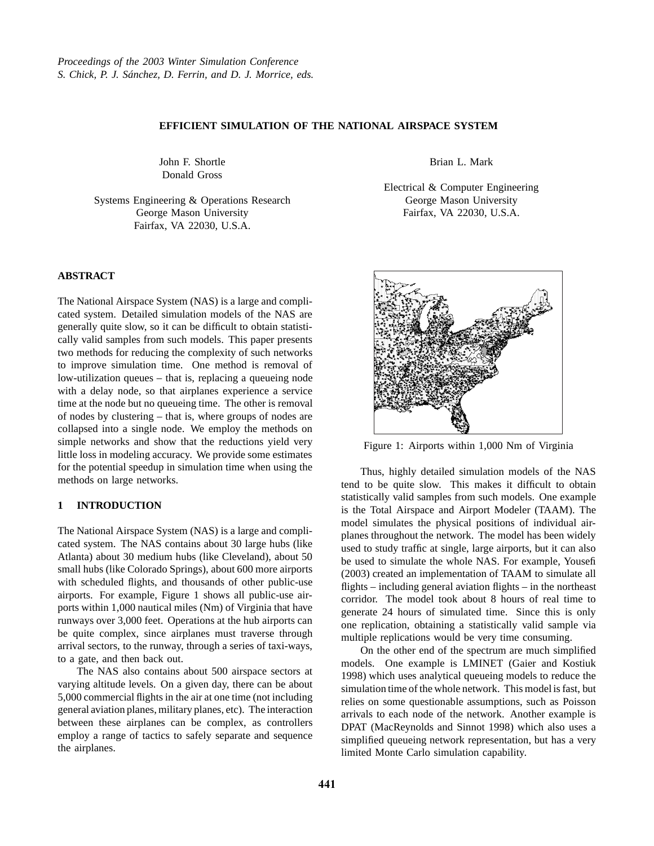# **EFFICIENT SIMULATION OF THE NATIONAL AIRSPACE SYSTEM**

John F. Shortle Donald Gross

Systems Engineering & Operations Research George Mason University Fairfax, VA 22030, U.S.A.

### **ABSTRACT**

The National Airspace System (NAS) is a large and complicated system. Detailed simulation models of the NAS are generally quite slow, so it can be difficult to obtain statistically valid samples from such models. This paper presents two methods for reducing the complexity of such networks to improve simulation time. One method is removal of low-utilization queues – that is, replacing a queueing node with a delay node, so that airplanes experience a service time at the node but no queueing time. The other is removal of nodes by clustering – that is, where groups of nodes are collapsed into a single node. We employ the methods on simple networks and show that the reductions yield very little loss in modeling accuracy. We provide some estimates for the potential speedup in simulation time when using the methods on large networks.

# **1 INTRODUCTION**

The National Airspace System (NAS) is a large and complicated system. The NAS contains about 30 large hubs (like Atlanta) about 30 medium hubs (like Cleveland), about 50 small hubs (like Colorado Springs), about 600 more airports with scheduled flights, and thousands of other public-use airports. For example, Figure 1 shows all public-use airports within 1,000 nautical miles (Nm) of Virginia that have runways over 3,000 feet. Operations at the hub airports can be quite complex, since airplanes must traverse through arrival sectors, to the runway, through a series of taxi-ways, to a gate, and then back out.

The NAS also contains about 500 airspace sectors at varying altitude levels. On a given day, there can be about 5,000 commercial flights in the air at one time (not including general aviation planes, military planes, etc). The interaction between these airplanes can be complex, as controllers employ a range of tactics to safely separate and sequence the airplanes.

Brian L. Mark

Electrical & Computer Engineering George Mason University Fairfax, VA 22030, U.S.A.



Figure 1: Airports within 1,000 Nm of Virginia

Thus, highly detailed simulation models of the NAS tend to be quite slow. This makes it difficult to obtain statistically valid samples from such models. One example is the Total Airspace and Airport Modeler (TAAM). The model simulates the physical positions of individual airplanes throughout the network. The model has been widely used to study traffic at single, large airports, but it can also be used to simulate the whole NAS. For example, Yousefi (2003) created an implementation of TAAM to simulate all flights – including general aviation flights – in the northeast corridor. The model took about 8 hours of real time to generate 24 hours of simulated time. Since this is only one replication, obtaining a statistically valid sample via multiple replications would be very time consuming.

On the other end of the spectrum are much simplified models. One example is LMINET (Gaier and Kostiuk 1998) which uses analytical queueing models to reduce the simulation time of the whole network. This model is fast, but relies on some questionable assumptions, such as Poisson arrivals to each node of the network. Another example is DPAT (MacReynolds and Sinnot 1998) which also uses a simplified queueing network representation, but has a very limited Monte Carlo simulation capability.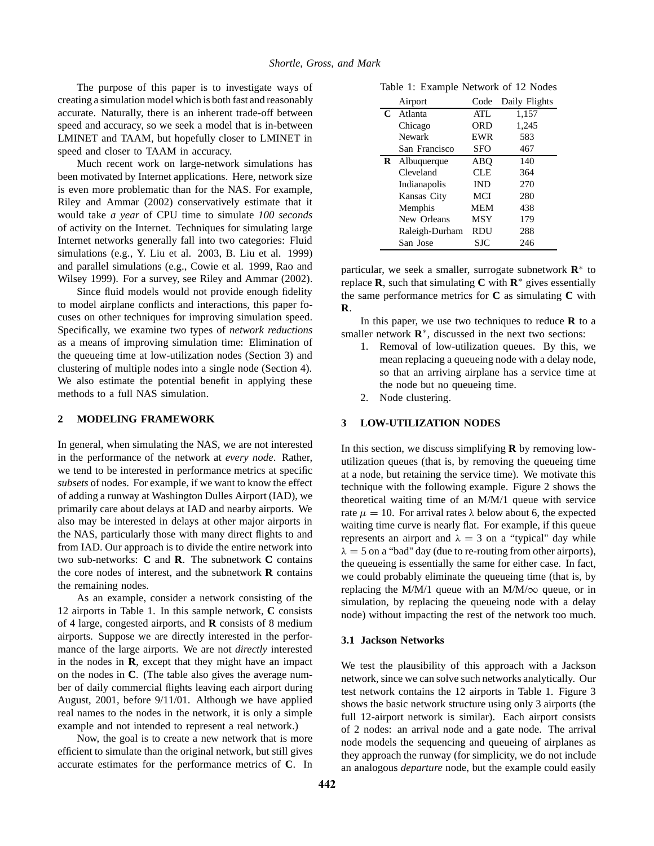The purpose of this paper is to investigate ways of creating a simulation model which is both fast and reasonably accurate. Naturally, there is an inherent trade-off between speed and accuracy, so we seek a model that is in-between LMINET and TAAM, but hopefully closer to LMINET in speed and closer to TAAM in accuracy.

Much recent work on large-network simulations has been motivated by Internet applications. Here, network size is even more problematic than for the NAS. For example, Riley and Ammar (2002) conservatively estimate that it would take *a year* of CPU time to simulate *100 seconds* of activity on the Internet. Techniques for simulating large Internet networks generally fall into two categories: Fluid simulations (e.g., Y. Liu et al. 2003, B. Liu et al. 1999) and parallel simulations (e.g., Cowie et al. 1999, Rao and Wilsey 1999). For a survey, see Riley and Ammar (2002).

Since fluid models would not provide enough fidelity to model airplane conflicts and interactions, this paper focuses on other techniques for improving simulation speed. Specifically, we examine two types of *network reductions* as a means of improving simulation time: Elimination of the queueing time at low-utilization nodes (Section 3) and clustering of multiple nodes into a single node (Section 4). We also estimate the potential benefit in applying these methods to a full NAS simulation.

# **2 MODELING FRAMEWORK**

In general, when simulating the NAS, we are not interested in the performance of the network at *every node*. Rather, we tend to be interested in performance metrics at specific *subsets* of nodes. For example, if we want to know the effect of adding a runway at Washington Dulles Airport (IAD), we primarily care about delays at IAD and nearby airports. We also may be interested in delays at other major airports in the NAS, particularly those with many direct flights to and from IAD. Our approach is to divide the entire network into two sub-networks: **C** and **R**. The subnetwork **C** contains the core nodes of interest, and the subnetwork **R** contains the remaining nodes.

As an example, consider a network consisting of the 12 airports in Table 1. In this sample network, **C** consists of 4 large, congested airports, and **R** consists of 8 medium airports. Suppose we are directly interested in the performance of the large airports. We are not *directly* interested in the nodes in **R**, except that they might have an impact on the nodes in **C**. (The table also gives the average number of daily commercial flights leaving each airport during August, 2001, before 9/11/01. Although we have applied real names to the nodes in the network, it is only a simple example and not intended to represent a real network.)

Now, the goal is to create a new network that is more efficient to simulate than the original network, but still gives accurate estimates for the performance metrics of **C**. In

Table 1: Example Network of 12 Nodes

|   | Airport        | Code       | Daily Flights |
|---|----------------|------------|---------------|
| C | Atlanta        | ATL        | 1,157         |
|   | Chicago        | ORD        | 1,245         |
|   | Newark         | <b>EWR</b> | 583           |
|   | San Francisco  | <b>SFO</b> | 467           |
| R | Albuquerque    | ABO        | 140           |
|   | Cleveland      | <b>CLE</b> | 364           |
|   | Indianapolis   | <b>IND</b> | 270           |
|   | Kansas City    | <b>MCI</b> | 280           |
|   | Memphis        | <b>MEM</b> | 438           |
|   | New Orleans    | <b>MSY</b> | 179           |
|   | Raleigh-Durham | <b>RDU</b> | 288           |
|   | San Jose       | SJC        | 246           |

particular, we seek a smaller, surrogate subnetwork **R**<sup>∗</sup> to replace **R**, such that simulating **C** with  $\mathbb{R}^*$  gives essentially the same performance metrics for **C** as simulating **C** with **R**.

In this paper, we use two techniques to reduce  **to a** smaller network **R**<sup>∗</sup>, discussed in the next two sections:

- 1. Removal of low-utilization queues. By this, we mean replacing a queueing node with a delay node, so that an arriving airplane has a service time at the node but no queueing time.
- 2. Node clustering.

# **3 LOW-UTILIZATION NODES**

In this section, we discuss simplifying **R** by removing lowutilization queues (that is, by removing the queueing time at a node, but retaining the service time). We motivate this technique with the following example. Figure 2 shows the theoretical waiting time of an M/M/1 queue with service rate  $\mu = 10$ . For arrival rates  $\lambda$  below about 6, the expected waiting time curve is nearly flat. For example, if this queue represents an airport and  $\lambda = 3$  on a "typical" day while  $\lambda = 5$  on a "bad" day (due to re-routing from other airports), the queueing is essentially the same for either case. In fact, we could probably eliminate the queueing time (that is, by replacing the M/M/1 queue with an M/M/ $\infty$  queue, or in simulation, by replacing the queueing node with a delay node) without impacting the rest of the network too much.

#### **3.1 Jackson Networks**

We test the plausibility of this approach with a Jackson network, since we can solve such networks analytically. Our test network contains the 12 airports in Table 1. Figure 3 shows the basic network structure using only 3 airports (the full 12-airport network is similar). Each airport consists of 2 nodes: an arrival node and a gate node. The arrival node models the sequencing and queueing of airplanes as they approach the runway (for simplicity, we do not include an analogous *departure* node, but the example could easily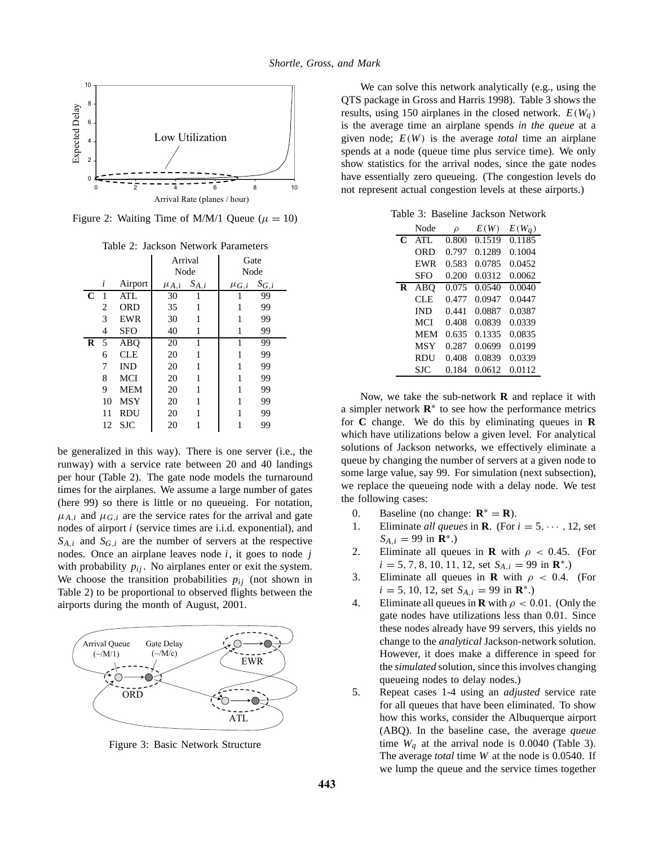

Figure 2: Waiting Time of M/M/1 Oueue ( $\mu = 10$ )

Table 2: Jackson Network Parameters

|             |    |            | Arrival     |           | Gate        |           |
|-------------|----|------------|-------------|-----------|-------------|-----------|
|             |    |            | Node        |           | Node        |           |
|             | i  | Airport    | $\mu_{A,i}$ | $S_{A,i}$ | $\mu_{G,i}$ | $S_{G,i}$ |
| $\mathbf C$ | 1  | ATL        | 30          |           |             | 99        |
|             | 2  | <b>ORD</b> | 35          | 1         | 1           | 99        |
|             | 3  | EWR        | 30          | 1         | 1           | 99        |
|             | 4  | <b>SFO</b> | 40          | 1         | 1           | 99        |
| $\bf{R}$    | 5  | <b>ABO</b> | 20          | 1         | 1           | 99        |
|             | 6  | <b>CLE</b> | 20          | 1         | 1           | 99        |
|             | 7  | <b>IND</b> | 20          | 1         | 1           | 99        |
|             | 8  | <b>MCI</b> | 20          | 1         | 1           | 99        |
|             | 9  | <b>MEM</b> | 20          | 1         | 1           | 99        |
|             | 10 | MSY        | 20          | 1         | 1           | 99        |
|             | 11 | <b>RDU</b> | 20          | 1         | 1           | 99        |
|             | 12 | <b>SJC</b> | 20          | 1         |             | 99        |

be generalized in this way). There is one server (i.e., the runway) with a service rate between 20 and 40 landings per hour (Table 2). The gate node models the turnaround times for the airplanes. We assume a large number of gates (here 99) so there is little or no queueing. For notation,  $\mu_{A,i}$  and  $\mu_{G,i}$  are the service rates for the arrival and gate nodes of airport *i* (service times are i.i.d. exponential), and  $S_{A,i}$  and  $S_{G,i}$  are the number of servers at the respective nodes. Once an airplane leaves node *i*, it goes to node *j* with probability  $p_{ij}$ . No airplanes enter or exit the system. We choose the transition probabilities  $p_{ij}$  (not shown in Table 2) to be proportional to observed flights between the airports during the month of August, 2001.



Figure 3: Basic Network Structure

We can solve this network analytically (e.g., using the QTS package in Gross and Harris 1998). Table 3 shows the results, using 150 airplanes in the closed network.  $E(W_a)$ is the average time an airplane spends *in the queue* at a given node; *E*(*W*) is the average *total* time an airplane spends at a node (queue time plus service time). We only show statistics for the arrival nodes, since the gate nodes have essentially zero queueing. (The congestion levels do not represent actual congestion levels at these airports.)

Table 3: Baseline Jackson Network

|   | Node       | $\rho$ | E(W)   | $E(W_a)$ |
|---|------------|--------|--------|----------|
| C | $ATI$ .    | 0.800  | 0.1519 | 0.1185   |
|   | ORD        | 0.797  | 0.1289 | 0.1004   |
|   | EWR        | 0.583  | 0.0785 | 0.0452   |
|   | SFO        | 0.200  | 0.0312 | 0.0062   |
| R | <b>ABO</b> | 0.075  | 0.0540 | 0.0040   |
|   | CLE.       | 0.477  | 0.0947 | 0.0447   |
|   | <b>IND</b> | 0.441  | 0.0887 | 0.0387   |
|   | MCI        | 0.408  | 0.0839 | 0.0339   |
|   | <b>MEM</b> | 0.635  | 0.1335 | 0.0835   |
|   | <b>MSY</b> | 0.287  | 0.0699 | 0.0199   |
|   | RDU        | 0.408  | 0.0839 | 0.0339   |
|   | <b>SIC</b> | 0.184  | 0.0612 | 0.0112   |

Now, we take the sub-network **R** and replace it with a simpler network **R**<sup>∗</sup> to see how the performance metrics for **C** change. We do this by eliminating queues in **R** which have utilizations below a given level. For analytical solutions of Jackson networks, we effectively eliminate a queue by changing the number of servers at a given node to some large value, say 99. For simulation (next subsection), we replace the queueing node with a delay node. We test the following cases:

- 0. Baseline (no change:  $\mathbf{R}^* = \mathbf{R}$ ).
- 1. Eliminate *all queues* in **R**. (For  $i = 5, \dots, 12$ , set  $S_{A,i} = 99$  in **R**<sup>\*</sup>.)
- 2. Eliminate all queues in **R** with  $\rho < 0.45$ . (For  $i = 5, 7, 8, 10, 11, 12$ , set  $S_{A,i} = 99$  in  $\mathbb{R}^*$ .)
- 3. Eliminate all queues in **R** with  $\rho < 0.4$ . (For  $i = 5, 10, 12, \text{ set } S_{A,i} = 99 \text{ in } \mathbb{R}^*$ .)
- 4. Eliminate all queues in **R** with  $\rho < 0.01$ . (Only the gate nodes have utilizations less than 0.01. Since these nodes already have 99 servers, this yields no change to the *analytical* Jackson-network solution. However, it does make a difference in speed for the *simulated* solution, since this involves changing queueing nodes to delay nodes.)
- 5. Repeat cases 1-4 using an *adjusted* service rate for all queues that have been eliminated. To show how this works, consider the Albuquerque airport (ABQ). In the baseline case, the average *queue* time  $W_a$  at the arrival node is 0.0040 (Table 3). The average *total* time *W* at the node is 0.0540. If we lump the queue and the service times together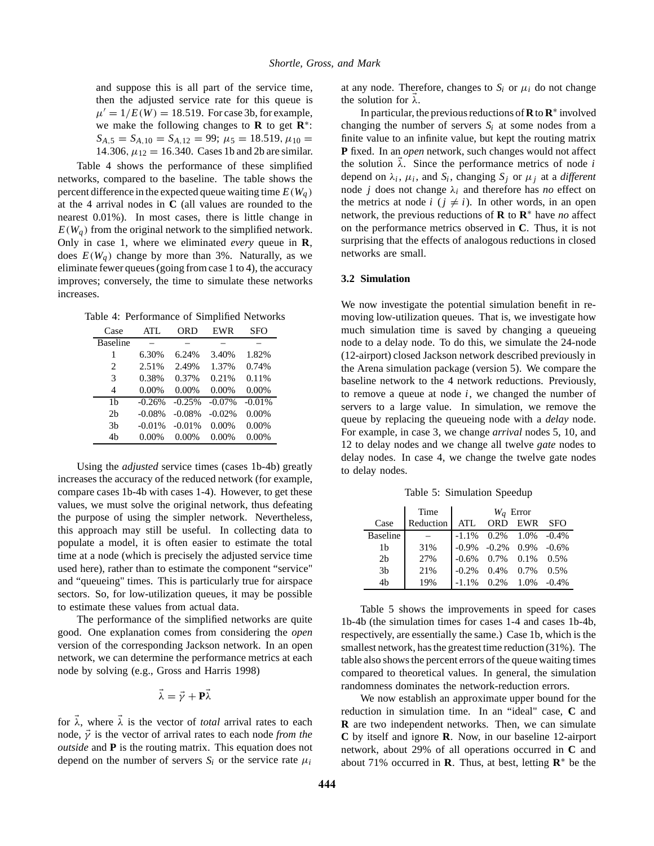and suppose this is all part of the service time, then the adjusted service rate for this queue is  $\mu' = 1/E(W) = 18.519$ . For case 3b, for example, we make the following changes to **R** to get **R**∗:  $S_{A,5} = S_{A,10} = S_{A,12} = 99; \mu_5 = 18.519, \mu_{10} =$ 14.306,  $\mu_{12} = 16.340$ . Cases 1b and 2b are similar.

Table 4 shows the performance of these simplified networks, compared to the baseline. The table shows the percent difference in the expected queue waiting time  $E(W_a)$ at the 4 arrival nodes in **C** (all values are rounded to the nearest 0.01%). In most cases, there is little change in  $E(W_a)$  from the original network to the simplified network. Only in case 1, where we eliminated *every* queue in **R**, does  $E(W_a)$  change by more than 3%. Naturally, as we eliminate fewer queues (going from case 1 to 4), the accuracy improves; conversely, the time to simulate these networks increases.

Table 4: Performance of Simplified Networks

| Case                        | ATL      | ORD      | <b>EWR</b> | SFO      |
|-----------------------------|----------|----------|------------|----------|
| <b>Baseline</b>             |          |          |            |          |
| 1                           | 6.30%    | 6.24%    | 3.40%      | 1.82%    |
| $\mathcal{D}_{\mathcal{L}}$ | 2.51%    | 2.49%    | 1.37%      | 0.74%    |
| 3                           | 0.38%    | 0.37%    | 0.21%      | 0.11%    |
| 4                           | $0.00\%$ | $0.00\%$ | $0.00\%$   | 0.00%    |
| 1b                          | $-0.26%$ | $-0.25%$ | $-0.07\%$  | $-0.01%$ |
| 2 <sub>b</sub>              | $-0.08%$ | $-0.08%$ | $-0.02\%$  | $0.00\%$ |
| 3 <sub>b</sub>              | $-0.01%$ | $-0.01%$ | $0.00\%$   | 0.00%    |
| 4b                          | $0.00\%$ | $0.00\%$ | $0.00\%$   | $0.00\%$ |

Using the *adjusted* service times (cases 1b-4b) greatly increases the accuracy of the reduced network (for example, compare cases 1b-4b with cases 1-4). However, to get these values, we must solve the original network, thus defeating the purpose of using the simpler network. Nevertheless, this approach may still be useful. In collecting data to populate a model, it is often easier to estimate the total time at a node (which is precisely the adjusted service time used here), rather than to estimate the component "service" and "queueing" times. This is particularly true for airspace sectors. So, for low-utilization queues, it may be possible to estimate these values from actual data.

The performance of the simplified networks are quite good. One explanation comes from considering the *open* version of the corresponding Jackson network. In an open network, we can determine the performance metrics at each node by solving (e.g., Gross and Harris 1998)

$$
\vec{\lambda}=\vec{\gamma}+\mathbf{P}\vec{\lambda}
$$

for  $\vec{\lambda}$ , where  $\vec{\lambda}$  is the vector of *total* arrival rates to each node,  $\vec{\gamma}$  is the vector of arrival rates to each node *from the outside* and **P** is the routing matrix. This equation does not depend on the number of servers  $S_i$  or the service rate  $\mu_i$ 

at any node. Therefore, changes to  $S_i$  or  $\mu_i$  do not change the solution for  $\lambda$ .

In particular, the previous reductions of **R**to **R**<sup>∗</sup> involved changing the number of servers  $S_i$  at some nodes from a finite value to an infinite value, but kept the routing matrix **P** fixed. In an *open* network, such changes would not affect the solution  $\lambda$ . Since the performance metrics of node *i* depend on  $\lambda_i$ ,  $\mu_i$ , and  $S_i$ , changing  $S_j$  or  $\mu_j$  at a *different* node *j* does not change  $\lambda_i$  and therefore has *no* effect on the metrics at node  $i$  ( $j \neq i$ ). In other words, in an open network, the previous reductions of **R** to **R**<sup>∗</sup> have *no* affect on the performance metrics observed in **C**. Thus, it is not surprising that the effects of analogous reductions in closed networks are small.

#### **3.2 Simulation**

We now investigate the potential simulation benefit in removing low-utilization queues. That is, we investigate how much simulation time is saved by changing a queueing node to a delay node. To do this, we simulate the 24-node (12-airport) closed Jackson network described previously in the Arena simulation package (version 5). We compare the baseline network to the 4 network reductions. Previously, to remove a queue at node *i*, we changed the number of servers to a large value. In simulation, we remove the queue by replacing the queueing node with a *delay* node. For example, in case 3, we change *arrival* nodes 5, 10, and 12 to delay nodes and we change all twelve *gate* nodes to delay nodes. In case 4, we change the twelve gate nodes to delay nodes.

Table 5: Simulation Speedup

|                 | Time      | $W_a$ Error |                                 |                    |  |
|-----------------|-----------|-------------|---------------------------------|--------------------|--|
| Case            | Reduction | ATL         | ORD.                            | EWR SFO            |  |
| <b>Baseline</b> |           |             | $-1.1\%$ 0.2% 1.0% $-0.4\%$     |                    |  |
| 1b              | 31%       |             | $-0.9\%$ $-0.2\%$ 0.9% $-0.6\%$ |                    |  |
| 2 <sub>b</sub>  | 27%       |             | $-0.6\%$ 0.7% 0.1% 0.5%         |                    |  |
| 3 <sub>b</sub>  | 21%       | $-0.2\%$    | $0.4\%$ 0.7% 0.5%               |                    |  |
| 4 <sub>b</sub>  | 19%       | $-1.1\%$    |                                 | $0.2\%$ 1.0% -0.4% |  |

Table 5 shows the improvements in speed for cases 1b-4b (the simulation times for cases 1-4 and cases 1b-4b, respectively, are essentially the same.) Case 1b, which is the smallest network, has the greatest time reduction (31%). The table also shows the percent errors of the queue waiting times compared to theoretical values. In general, the simulation randomness dominates the network-reduction errors.

We now establish an approximate upper bound for the reduction in simulation time. In an "ideal" case, **C** and **R** are two independent networks. Then, we can simulate **C** by itself and ignore **R**. Now, in our baseline 12-airport network, about 29% of all operations occurred in **C** and about 71% occurred in **R**. Thus, at best, letting  $\mathbb{R}^*$  be the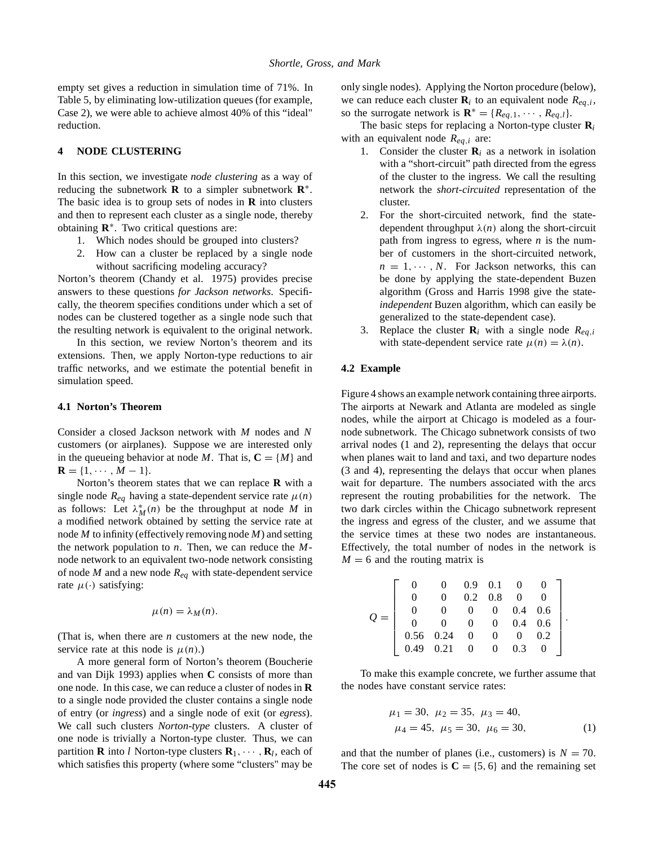empty set gives a reduction in simulation time of 71%. In Table 5, by eliminating low-utilization queues (for example, Case 2), we were able to achieve almost 40% of this "ideal" reduction.

### **4 NODE CLUSTERING**

In this section, we investigate *node clustering* as a way of reducing the subnetwork **R** to a simpler subnetwork **R**∗. The basic idea is to group sets of nodes in **R** into clusters and then to represent each cluster as a single node, thereby obtaining **R**∗. Two critical questions are:

- 1. Which nodes should be grouped into clusters?
- 2. How can a cluster be replaced by a single node without sacrificing modeling accuracy?

Norton's theorem (Chandy et al. 1975) provides precise answers to these questions *for Jackson networks*. Specifically, the theorem specifies conditions under which a set of nodes can be clustered together as a single node such that the resulting network is equivalent to the original network.

In this section, we review Norton's theorem and its extensions. Then, we apply Norton-type reductions to air traffic networks, and we estimate the potential benefit in simulation speed.

### **4.1 Norton's Theorem**

Consider a closed Jackson network with *M* nodes and *N* customers (or airplanes). Suppose we are interested only in the queueing behavior at node *M*. That is,  $C = \{M\}$  and  $$ 

Norton's theorem states that we can replace **R** with a single node  $R_{eq}$  having a state-dependent service rate  $\mu(n)$ as follows: Let  $\lambda_M^*(n)$  be the throughput at node *M* in a modified network obtained by setting the service rate at node *M* to infinity (effectively removing node *M*) and setting the network population to *n*. Then, we can reduce the *M*node network to an equivalent two-node network consisting of node *M* and a new node *Req* with state-dependent service rate  $\mu(\cdot)$  satisfying:

$$
\mu(n) = \lambda_M(n).
$$

(That is, when there are *n* customers at the new node, the service rate at this node is  $\mu(n)$ .)

A more general form of Norton's theorem (Boucherie and van Dijk 1993) applies when **C** consists of more than one node. In this case, we can reduce a cluster of nodes in **R** to a single node provided the cluster contains a single node of entry (or *ingress*) and a single node of exit (or *egress*). We call such clusters *Norton-type* clusters. A cluster of one node is trivially a Norton-type cluster. Thus, we can partition **R** into *l* Norton-type clusters  $\mathbf{R}_1, \cdots, \mathbf{R}_l$ , each of which satisfies this property (where some "clusters" may be

only single nodes). Applying the Norton procedure (below), we can reduce each cluster  $\mathbf{R}_i$  to an equivalent node  $R_{ea,i}$ , so the surrogate network is  $\mathbf{R}^* = \{R_{eq,1}, \dots, R_{eq,l}\}.$ 

The basic steps for replacing a Norton-type cluster **R***<sup>i</sup>* with an equivalent node *Req*,*<sup>i</sup>* are:

- 1. Consider the cluster  $\mathbf{R}_i$  as a network in isolation with a "short-circuit" path directed from the egress of the cluster to the ingress. We call the resulting network the *short-circuited* representation of the cluster.
- 2. For the short-circuited network, find the statedependent throughput  $\lambda(n)$  along the short-circuit path from ingress to egress, where *n* is the number of customers in the short-circuited network,  $n = 1, \dots, N$ . For Jackson networks, this can be done by applying the state-dependent Buzen algorithm (Gross and Harris 1998 give the state*independent* Buzen algorithm, which can easily be generalized to the state-dependent case).
- 3. Replace the cluster  $\mathbf{R}_i$  with a single node  $R_{eq,i}$ with state-dependent service rate  $\mu(n) = \lambda(n)$ .

#### **4.2 Example**

Figure 4 shows an example network containing three airports. The airports at Newark and Atlanta are modeled as single nodes, while the airport at Chicago is modeled as a fournode subnetwork. The Chicago subnetwork consists of two arrival nodes (1 and 2), representing the delays that occur when planes wait to land and taxi, and two departure nodes (3 and 4), representing the delays that occur when planes wait for departure. The numbers associated with the arcs represent the routing probabilities for the network. The two dark circles within the Chicago subnetwork represent the ingress and egress of the cluster, and we assume that the service times at these two nodes are instantaneous. Effectively, the total number of nodes in the network is  $M = 6$  and the routing matrix is

$$
Q = \left[ \begin{array}{cccccc} 0 & 0 & 0.9 & 0.1 & 0 & 0 \\ 0 & 0 & 0.2 & 0.8 & 0 & 0 \\ 0 & 0 & 0 & 0 & 0.4 & 0.6 \\ 0 & 0 & 0 & 0 & 0.4 & 0.6 \\ 0.56 & 0.24 & 0 & 0 & 0 & 0.2 \\ 0.49 & 0.21 & 0 & 0 & 0.3 & 0 \end{array} \right].
$$

To make this example concrete, we further assume that the nodes have constant service rates:

$$
\mu_1 = 30, \ \mu_2 = 35, \ \mu_3 = 40,
$$
  
\n $\mu_4 = 45, \ \mu_5 = 30, \ \mu_6 = 30,$  (1)

and that the number of planes (i.e., customers) is  $N = 70$ . The core set of nodes is  $C = \{5, 6\}$  and the remaining set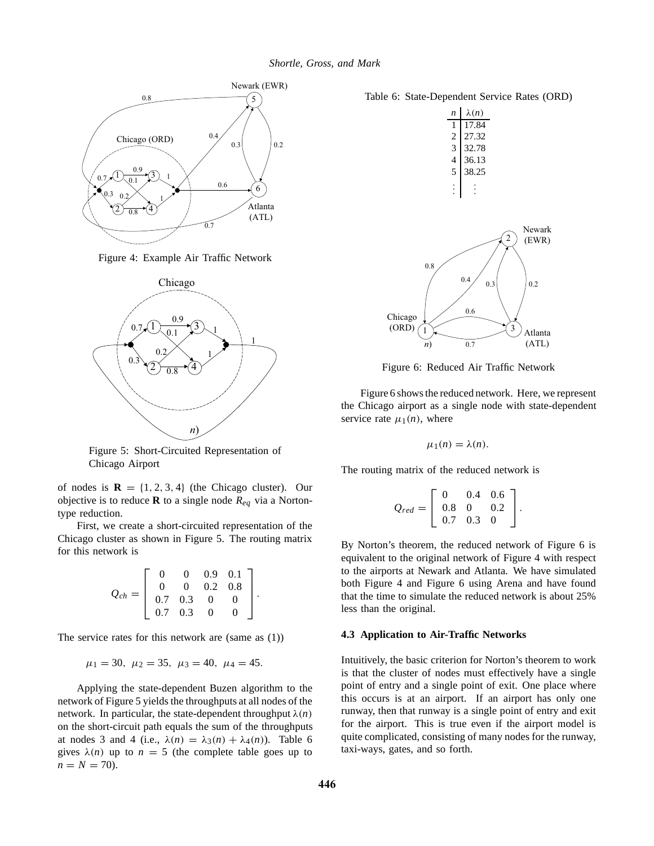

Figure 4: Example Air Traffic Network



Figure 5: Short-Circuited Representation of Chicago Airport

of nodes is  $\mathbf{R} = \{1, 2, 3, 4\}$  (the Chicago cluster). Our objective is to reduce **R** to a single node  $R_{eq}$  via a Nortontype reduction.

First, we create a short-circuited representation of the Chicago cluster as shown in Figure 5. The routing matrix for this network is

$$
Q_{ch} = \left[ \begin{array}{cccc} 0 & 0 & 0.9 & 0.1 \\ 0 & 0 & 0.2 & 0.8 \\ 0.7 & 0.3 & 0 & 0 \\ 0.7 & 0.3 & 0 & 0 \end{array} \right].
$$

The service rates for this network are (same as (1))

$$
\mu_1 = 30, \ \mu_2 = 35, \ \mu_3 = 40, \ \mu_4 = 45.
$$

Applying the state-dependent Buzen algorithm to the network of Figure 5 yields the throughputs at all nodes of the network. In particular, the state-dependent throughput  $\lambda(n)$ on the short-circuit path equals the sum of the throughputs at nodes 3 and 4 (i.e.,  $\lambda(n) = \lambda_3(n) + \lambda_4(n)$ ). Table 6 gives  $\lambda(n)$  up to  $n = 5$  (the complete table goes up to  $n = N = 70$ .

| $\lambda(n)$ |
|--------------|
| 17.84        |
| 27.32        |
| 32.78        |
| 36.13        |
| 38.25        |
|              |
|              |



Figure 6: Reduced Air Traffic Network

Figure 6 shows the reduced network. Here, we represent the Chicago airport as a single node with state-dependent service rate  $\mu_1(n)$ , where

$$
\mu_1(n)=\lambda(n).
$$

The routing matrix of the reduced network is

$$
Q_{red} = \left[ \begin{array}{rrr} 0 & 0.4 & 0.6 \\ 0.8 & 0 & 0.2 \\ 0.7 & 0.3 & 0 \end{array} \right].
$$

By Norton's theorem, the reduced network of Figure 6 is equivalent to the original network of Figure 4 with respect to the airports at Newark and Atlanta. We have simulated both Figure 4 and Figure 6 using Arena and have found that the time to simulate the reduced network is about 25% less than the original.

#### **4.3 Application to Air-Traffic Networks**

Intuitively, the basic criterion for Norton's theorem to work is that the cluster of nodes must effectively have a single point of entry and a single point of exit. One place where this occurs is at an airport. If an airport has only one runway, then that runway is a single point of entry and exit for the airport. This is true even if the airport model is quite complicated, consisting of many nodes for the runway, taxi-ways, gates, and so forth.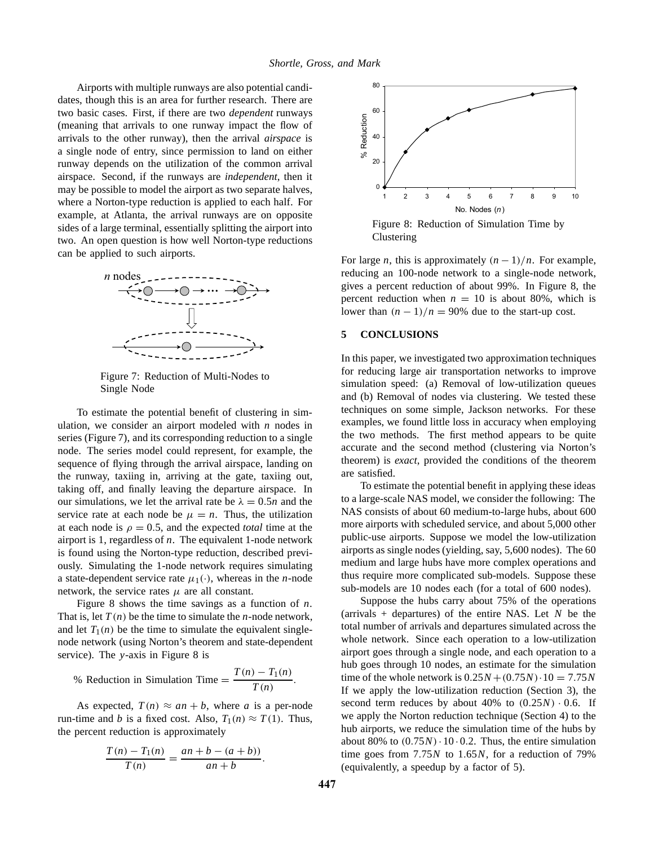Airports with multiple runways are also potential candidates, though this is an area for further research. There are two basic cases. First, if there are two *dependent* runways (meaning that arrivals to one runway impact the flow of arrivals to the other runway), then the arrival *airspace* is a single node of entry, since permission to land on either runway depends on the utilization of the common arrival airspace. Second, if the runways are *independent*, then it may be possible to model the airport as two separate halves, where a Norton-type reduction is applied to each half. For example, at Atlanta, the arrival runways are on opposite sides of a large terminal, essentially splitting the airport into two. An open question is how well Norton-type reductions can be applied to such airports.



Figure 7: Reduction of Multi-Nodes to Single Node

To estimate the potential benefit of clustering in simulation, we consider an airport modeled with *n* nodes in series (Figure 7), and its corresponding reduction to a single node. The series model could represent, for example, the sequence of flying through the arrival airspace, landing on the runway, taxiing in, arriving at the gate, taxiing out, taking off, and finally leaving the departure airspace. In our simulations, we let the arrival rate be  $\lambda = 0.5n$  and the service rate at each node be  $\mu = n$ . Thus, the utilization at each node is  $\rho = 0.5$ , and the expected *total* time at the airport is 1, regardless of *n*. The equivalent 1-node network is found using the Norton-type reduction, described previously. Simulating the 1-node network requires simulating a state-dependent service rate  $\mu_1(\cdot)$ , whereas in the *n*-node network, the service rates  $\mu$  are all constant.

Figure 8 shows the time savings as a function of *n*. That is, let  $T(n)$  be the time to simulate the *n*-node network, and let  $T_1(n)$  be the time to simulate the equivalent singlenode network (using Norton's theorem and state-dependent service). The *y*-axis in Figure 8 is

% Reduction in Simulation Time = 
$$
\frac{T(n) - T_1(n)}{T(n)}
$$
.

As expected,  $T(n) \approx an + b$ , where *a* is a per-node run-time and *b* is a fixed cost. Also,  $T_1(n) \approx T(1)$ . Thus, the percent reduction is approximately

$$
\frac{T(n) - T_1(n)}{T(n)} = \frac{an + b - (a + b))}{an + b}.
$$



Figure 8: Reduction of Simulation Time by Clustering

For large *n*, this is approximately  $(n - 1)/n$ . For example, reducing an 100-node network to a single-node network, gives a percent reduction of about 99%. In Figure 8, the percent reduction when  $n = 10$  is about 80%, which is lower than  $(n - 1)/n = 90\%$  due to the start-up cost.

### **5 CONCLUSIONS**

In this paper, we investigated two approximation techniques for reducing large air transportation networks to improve simulation speed: (a) Removal of low-utilization queues and (b) Removal of nodes via clustering. We tested these techniques on some simple, Jackson networks. For these examples, we found little loss in accuracy when employing the two methods. The first method appears to be quite accurate and the second method (clustering via Norton's theorem) is *exact*, provided the conditions of the theorem are satisfied.

To estimate the potential benefit in applying these ideas to a large-scale NAS model, we consider the following: The NAS consists of about 60 medium-to-large hubs, about 600 more airports with scheduled service, and about 5,000 other public-use airports. Suppose we model the low-utilization airports as single nodes (yielding, say, 5,600 nodes). The 60 medium and large hubs have more complex operations and thus require more complicated sub-models. Suppose these sub-models are 10 nodes each (for a total of 600 nodes).

Suppose the hubs carry about 75% of the operations (arrivals + departures) of the entire NAS. Let *N* be the total number of arrivals and departures simulated across the whole network. Since each operation to a low-utilization airport goes through a single node, and each operation to a hub goes through 10 nodes, an estimate for the simulation time of the whole network is  $0.25N + (0.75N) \cdot 10 = 7.75N$ If we apply the low-utilization reduction (Section 3), the second term reduces by about  $40\%$  to  $(0.25N) \cdot 0.6$ . If we apply the Norton reduction technique (Section 4) to the hub airports, we reduce the simulation time of the hubs by about 80% to  $(0.75N) \cdot 10 \cdot 0.2$ . Thus, the entire simulation time goes from 7.75*N* to 1.65*N*, for a reduction of 79% (equivalently, a speedup by a factor of 5).